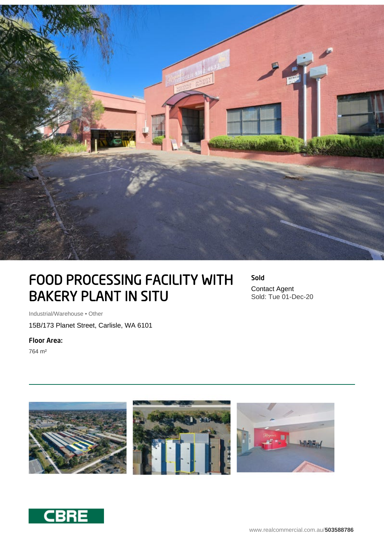

## FOOD PROCESSING FACILITY WITH BAKERY PLANT IN SITU

Sold Contact Agent Sold: Tue 01-Dec-20

Industrial/Warehouse • Other

15B/173 Planet Street, Carlisle, WA 6101

Floor Area:

764 m²